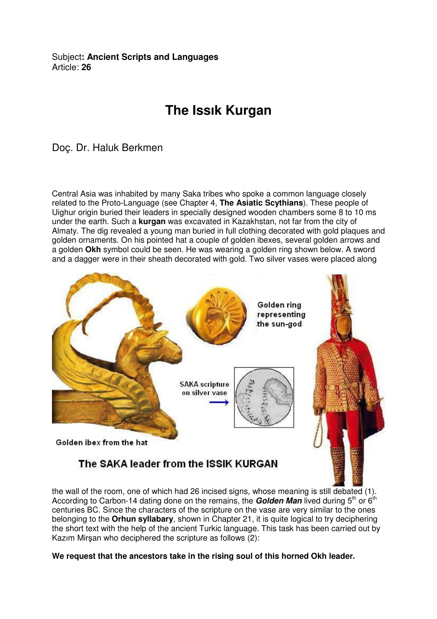Subject**: Ancient Scripts and Languages**  Article: **26**

## **The Issık Kurgan**

Doç. Dr. Haluk Berkmen

Central Asia was inhabited by many Saka tribes who spoke a common language closely related to the Proto-Language (see Chapter 4, **The Asiatic Scythians**). These people of Uighur origin buried their leaders in specially designed wooden chambers some 8 to 10 ms under the earth. Such a **kurgan** was excavated in Kazakhstan, not far from the city of Almaty. The dig revealed a young man buried in full clothing decorated with gold plaques and golden ornaments. On his pointed hat a couple of golden ibexes, several golden arrows and a golden **Okh** symbol could be seen. He was wearing a golden ring shown below. A sword and a dagger were in their sheath decorated with gold. Two silver vases were placed along



the wall of the room, one of which had 26 incised signs, whose meaning is still debated (1). According to Carbon-14 dating done on the remains, the **Golden Man** lived during 5<sup>th</sup> or 6<sup>th</sup> centuries BC. Since the characters of the scripture on the vase are very similar to the ones belonging to the **Orhun syllabary**, shown in Chapter 21, it is quite logical to try deciphering the short text with the help of the ancient Turkic language. This task has been carried out by Kazım Mirşan who deciphered the scripture as follows (2):

**We request that the ancestors take in the rising soul of this horned Okh leader.**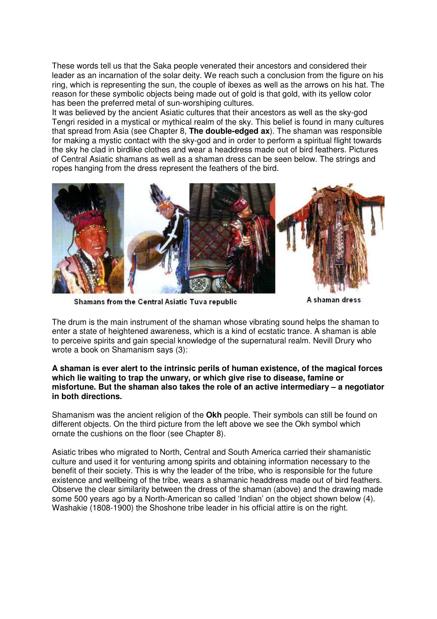These words tell us that the Saka people venerated their ancestors and considered their leader as an incarnation of the solar deity. We reach such a conclusion from the figure on his ring, which is representing the sun, the couple of ibexes as well as the arrows on his hat. The reason for these symbolic objects being made out of gold is that gold, with its yellow color has been the preferred metal of sun-worshiping cultures.

It was believed by the ancient Asiatic cultures that their ancestors as well as the sky-god Tengri resided in a mystical or mythical realm of the sky. This belief is found in many cultures that spread from Asia (see Chapter 8, **The double-edged ax**). The shaman was responsible for making a mystic contact with the sky-god and in order to perform a spiritual flight towards the sky he clad in birdlike clothes and wear a headdress made out of bird feathers. Pictures of Central Asiatic shamans as well as a shaman dress can be seen below. The strings and ropes hanging from the dress represent the feathers of the bird.



Shamans from the Central Asiatic Tuva republic

A shaman dress

The drum is the main instrument of the shaman whose vibrating sound helps the shaman to enter a state of heightened awareness, which is a kind of ecstatic trance. A shaman is able to perceive spirits and gain special knowledge of the supernatural realm. Nevill Drury who wrote a book on Shamanism says (3):

## **A shaman is ever alert to the intrinsic perils of human existence, of the magical forces which lie waiting to trap the unwary, or which give rise to disease, famine or misfortune. But the shaman also takes the role of an active intermediary – a negotiator in both directions.**

Shamanism was the ancient religion of the **Okh** people. Their symbols can still be found on different objects. On the third picture from the left above we see the Okh symbol which ornate the cushions on the floor (see Chapter 8).

Asiatic tribes who migrated to North, Central and South America carried their shamanistic culture and used it for venturing among spirits and obtaining information necessary to the benefit of their society. This is why the leader of the tribe, who is responsible for the future existence and wellbeing of the tribe, wears a shamanic headdress made out of bird feathers. Observe the clear similarity between the dress of the shaman (above) and the drawing made some 500 years ago by a North-American so called 'Indian' on the object shown below (4). Washakie (1808-1900) the Shoshone tribe leader in his official attire is on the right.